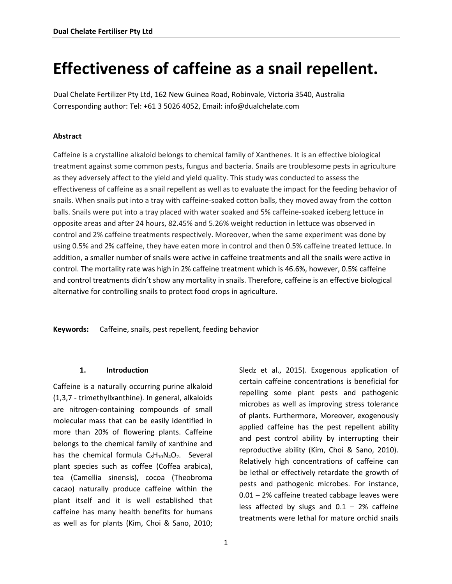# **Effectiveness of caffeine as a snail repellent.**

Dual Chelate Fertilizer Pty Ltd, 162 New Guinea Road, Robinvale, Victoria 3540, Australia Corresponding author: Tel: +61 3 5026 4052, Email: info@dualchelate.com

### **Abstract**

Caffeine is a crystalline alkaloid belongs to chemical family of Xanthenes. It is an effective biological treatment against some common pests, fungus and bacteria. Snails are troublesome pests in agriculture as they adversely affect to the yield and yield quality. This study was conducted to assess the effectiveness of caffeine as a snail repellent as well as to evaluate the impact for the feeding behavior of snails. When snails put into a tray with caffeine-soaked cotton balls, they moved away from the cotton balls. Snails were put into a tray placed with water soaked and 5% caffeine-soaked iceberg lettuce in opposite areas and after 24 hours, 82.45% and 5.26% weight reduction in lettuce was observed in control and 2% caffeine treatments respectively. Moreover, when the same experiment was done by using 0.5% and 2% caffeine, they have eaten more in control and then 0.5% caffeine treated lettuce. In addition, a smaller number of snails were active in caffeine treatments and all the snails were active in control. The mortality rate was high in 2% caffeine treatment which is 46.6%, however, 0.5% caffeine and control treatments didn't show any mortality in snails. Therefore, caffeine is an effective biological alternative for controlling snails to protect food crops in agriculture.

**Keywords:** Caffeine, snails, pest repellent, feeding behavior

### **1. Introduction**

Caffeine is a naturally occurring purine alkaloid (1,3,7 - trimethyllxanthine). In general, alkaloids are nitrogen-containing compounds of small molecular mass that can be easily identified in more than 20% of flowering plants. Caffeine belongs to the chemical family of xanthine and has the chemical formula  $C_8H_{10}N_4O_2$ . Several plant species such as coffee (Coffea arabica), tea (Camellia sinensis), cocoa (Theobroma cacao) naturally produce caffeine within the plant itself and it is well established that caffeine has many health benefits for humans as well as for plants (Kim, Choi & Sano, 2010;

Sledz et al., 2015). Exogenous application of certain caffeine concentrations is beneficial for repelling some plant pests and pathogenic microbes as well as improving stress tolerance of plants. Furthermore, Moreover, exogenously applied caffeine has the pest repellent ability and pest control ability by interrupting their reproductive ability (Kim, Choi & Sano, 2010). Relatively high concentrations of caffeine can be lethal or effectively retardate the growth of pests and pathogenic microbes. For instance, 0.01 – 2% caffeine treated cabbage leaves were less affected by slugs and  $0.1 - 2%$  caffeine treatments were lethal for mature orchid snails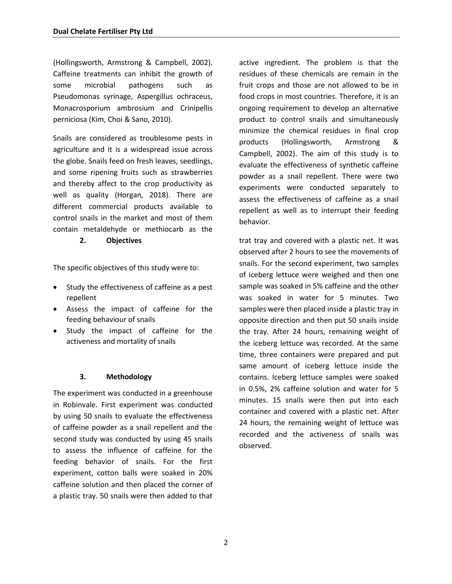(Hollingsworth, Armstrong & Campbell, 2002). Caffeine treatments can inhibit the growth of some microbial pathogens such as Pseudomonas syrinage, Aspergillus ochraceus, Monacrosporium ambrosium and Crinipellis perniciosa (Kim, Choi & Sano, 2010).

Snails are considered as troublesome pests in agriculture and it is a widespread issue across the globe. Snails feed on fresh leaves, seedlings, and some ripening fruits such as strawberries and thereby affect to the crop productivity as well as quality (Horgan, 2018). There are different commercial products available to control snails in the market and most of them contain metaldehyde or methiocarb as the

**2. Objectives**

The specific objectives of this study were to:

- Study the effectiveness of caffeine as a pest repellent
- Assess the impact of caffeine for the feeding behaviour of snails
- Study the impact of caffeine for the activeness and mortality of snails

### **3. Methodology**

The experiment was conducted in a greenhouse in Robinvale. First experiment was conducted by using 50 snails to evaluate the effectiveness of caffeine powder as a snail repellent and the second study was conducted by using 45 snails to assess the influence of caffeine for the feeding behavior of snails. For the first experiment, cotton balls were soaked in 20% caffeine solution and then placed the corner of a plastic tray. 50 snails were then added to that

active ingredient. The problem is that the residues of these chemicals are remain in the fruit crops and those are not allowed to be in food crops in most countries. Therefore, it is an ongoing requirement to develop an alternative product to control snails and simultaneously minimize the chemical residues in final crop products (Hollingsworth, Armstrong & Campbell, 2002). The aim of this study is to evaluate the effectiveness of synthetic caffeine powder as a snail repellent. There were two experiments were conducted separately to assess the effectiveness of caffeine as a snail repellent as well as to interrupt their feeding behavior.

trat tray and covered with a plastic net. It was observed after 2 hours to see the movements of snails. For the second experiment, two samples of iceberg lettuce were weighed and then one sample was soaked in 5% caffeine and the other was soaked in water for 5 minutes. Two samples were then placed inside a plastic tray in opposite direction and then put 50 snails inside the tray. After 24 hours, remaining weight of the iceberg lettuce was recorded. At the same time, three containers were prepared and put same amount of iceberg lettuce inside the contains. Iceberg lettuce samples were soaked in 0.5%, 2% caffeine solution and water for 5 minutes. 15 snails were then put into each container and covered with a plastic net. After 24 hours, the remaining weight of lettuce was recorded and the activeness of snails was observed.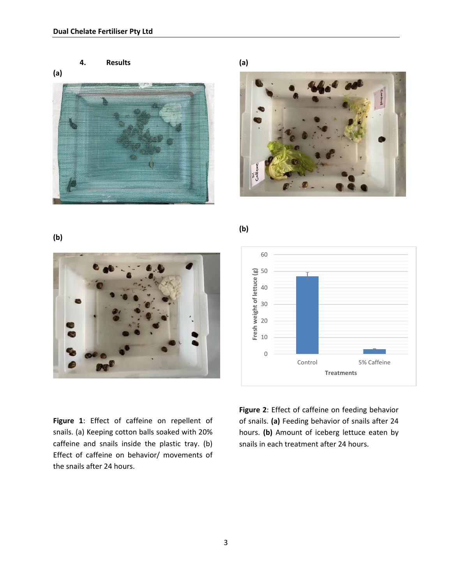**4. Results**



**(a)**



**(b)**

## 0 10 20 30 40 50 60 Control 5% Caffeine **Fresh weight of lettuce (g) Treatments**

**Figure 1**: Effect of caffeine on repellent of snails. (a) Keeping cotton balls soaked with 20% caffeine and snails inside the plastic tray. (b) Effect of caffeine on behavior/ movements of the snails after 24 hours.

**Figure 2**: Effect of caffeine on feeding behavior of snails. **(a)** Feeding behavior of snails after 24 hours. **(b)** Amount of iceberg lettuce eaten by snails in each treatment after 24 hours.

### **(b)**

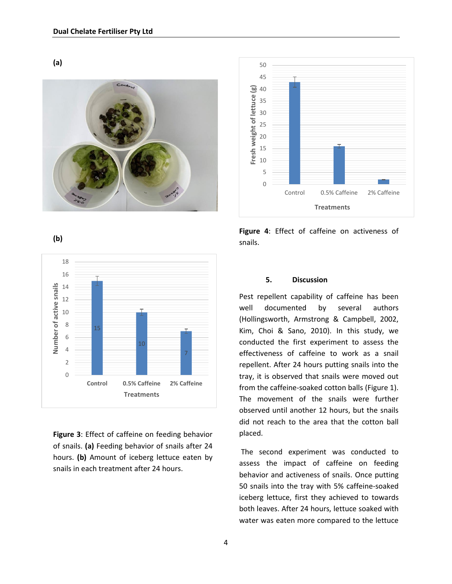



**Figure 4**: Effect of caffeine on activeness of snails.



**Figure 3**: Effect of caffeine on feeding behavior of snails. **(a)** Feeding behavior of snails after 24 hours. **(b)** Amount of iceberg lettuce eaten by snails in each treatment after 24 hours.

### **5. Discussion**

Pest repellent capability of caffeine has been well documented by several authors (Hollingsworth, Armstrong & Campbell, 2002, Kim, Choi & Sano, 2010). In this study, we conducted the first experiment to assess the effectiveness of caffeine to work as a snail repellent. After 24 hours putting snails into the tray, it is observed that snails were moved out from the caffeine-soaked cotton balls (Figure 1). The movement of the snails were further observed until another 12 hours, but the snails did not reach to the area that the cotton ball placed.

The second experiment was conducted to assess the impact of caffeine on feeding behavior and activeness of snails. Once putting 50 snails into the tray with 5% caffeine-soaked iceberg lettuce, first they achieved to towards both leaves. After 24 hours, lettuce soaked with water was eaten more compared to the lettuce

**(b)**